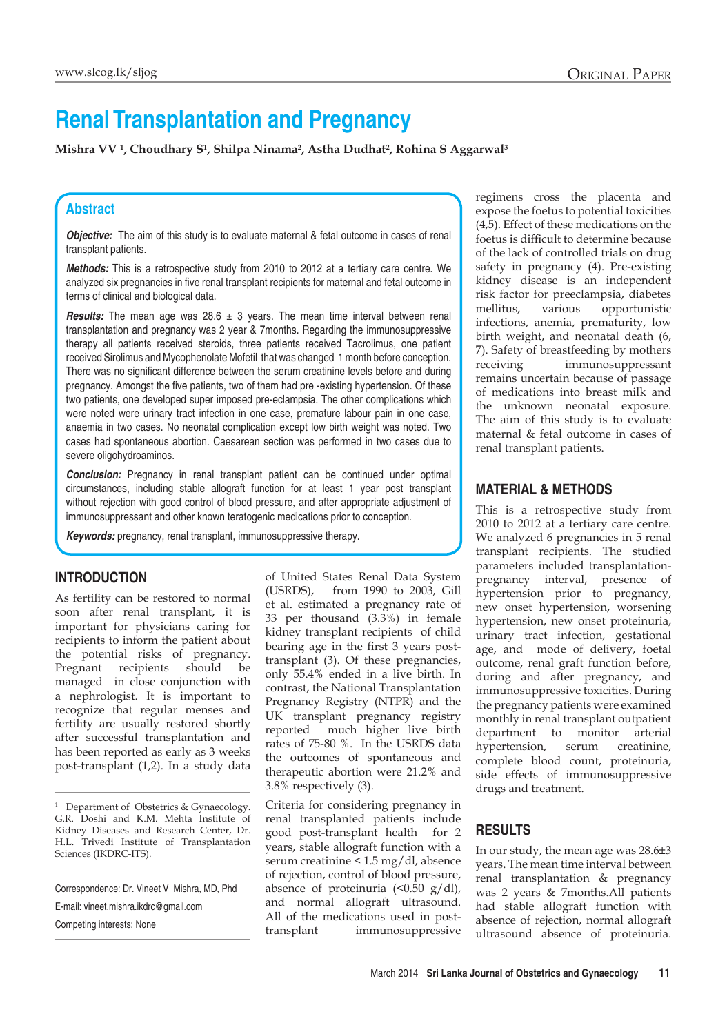# **Renal Transplantation and Pregnancy**

**Mishra VV 1 , Choudhary S1 , Shilpa Ninama2 , Astha Dudhat2 , Rohina S Aggarwal3**

## **Abstract**

**Objective:** The aim of this study is to evaluate maternal & fetal outcome in cases of renal transplant patients.

*Methods:* This is a retrospective study from 2010 to 2012 at a tertiary care centre. We analyzed six pregnancies in five renal transplant recipients for maternal and fetal outcome in terms of clinical and biological data.

**Results:** The mean age was 28.6 ± 3 years. The mean time interval between renal transplantation and pregnancy was 2 year & 7months. Regarding the immunosuppressive therapy all patients received steroids, three patients received Tacrolimus, one patient received Sirolimus and Mycophenolate Mofetil that was changed 1 month before conception. There was no significant difference between the serum creatinine levels before and during pregnancy. Amongst the five patients, two of them had pre -existing hypertension. Of these two patients, one developed super imposed pre-eclampsia. The other complications which were noted were urinary tract infection in one case, premature labour pain in one case, anaemia in two cases. No neonatal complication except low birth weight was noted. Two cases had spontaneous abortion. Caesarean section was performed in two cases due to severe oligohydroaminos.

*Conclusion:* Pregnancy in renal transplant patient can be continued under optimal circumstances, including stable allograft function for at least 1 year post transplant without rejection with good control of blood pressure, and after appropriate adjustment of immunosuppressant and other known teratogenic medications prior to conception.

*Keywords:* pregnancy, renal transplant, immunosuppressive therapy.

#### **Introduction**

As fertility can be restored to normal soon after renal transplant, it is important for physicians caring for recipients to inform the patient about the potential risks of pregnancy. Pregnant recipients should be managed in close conjunction with a nephrologist. It is important to recognize that regular menses and fertility are usually restored shortly after successful transplantation and has been reported as early as 3 weeks post-transplant (1,2). In a study data

<sup>1</sup> Department of Obstetrics & Gynaecology. G.R. Doshi and K.M. Mehta Institute of Kidney Diseases and Research Center, Dr. H.L. Trivedi Institute of Transplantation Sciences (IKDRC-ITS).

Correspondence: Dr. Vineet V Mishra, MD, Phd E-mail: vineet.mishra.ikdrc@gmail.com Competing interests: None

of United States Renal Data System (USRDS), from 1990 to 2003, Gill et al. estimated a pregnancy rate of 33 per thousand (3.3%) in female kidney transplant recipients of child bearing age in the first 3 years posttransplant (3). Of these pregnancies, only 55.4% ended in a live birth. In contrast, the National Transplantation Pregnancy Registry (NTPR) and the UK transplant pregnancy registry reported much higher live birth rates of 75-80 %. In the USRDS data the outcomes of spontaneous and therapeutic abortion were 21.2% and 3.8% respectively (3).

Criteria for considering pregnancy in renal transplanted patients include good post-transplant health for 2 years, stable allograft function with a serum creatinine < 1.5 mg/dl, absence of rejection, control of blood pressure, absence of proteinuria  $\left($  < 0.50 g/dl), and normal allograft ultrasound. All of the medications used in posttransplant immunosuppressive regimens cross the placenta and expose the foetus to potential toxicities (4,5). Effect of these medications on the foetus is difficult to determine because of the lack of controlled trials on drug safety in pregnancy (4). Pre-existing kidney disease is an independent risk factor for preeclampsia, diabetes mellitus, various opportunistic infections, anemia, prematurity, low birth weight, and neonatal death (6, 7). Safety of breastfeeding by mothers receiving immunosuppressant remains uncertain because of passage of medications into breast milk and the unknown neonatal exposure. The aim of this study is to evaluate maternal & fetal outcome in cases of renal transplant patients.

#### **Material & Methods**

This is a retrospective study from 2010 to 2012 at a tertiary care centre. We analyzed 6 pregnancies in 5 renal transplant recipients. The studied parameters included transplantationpregnancy interval, presence of hypertension prior to pregnancy, new onset hypertension, worsening hypertension, new onset proteinuria, urinary tract infection, gestational age, and mode of delivery, foetal outcome, renal graft function before, during and after pregnancy, and immunosuppressive toxicities. During the pregnancy patients were examined monthly in renal transplant outpatient department to monitor arterial hypertension, serum creatinine, complete blood count, proteinuria, side effects of immunosuppressive drugs and treatment.

#### **Results**

In our study, the mean age was 28.6±3 years. The mean time interval between renal transplantation & pregnancy was 2 years & 7months.All patients had stable allograft function with absence of rejection, normal allograft ultrasound absence of proteinuria.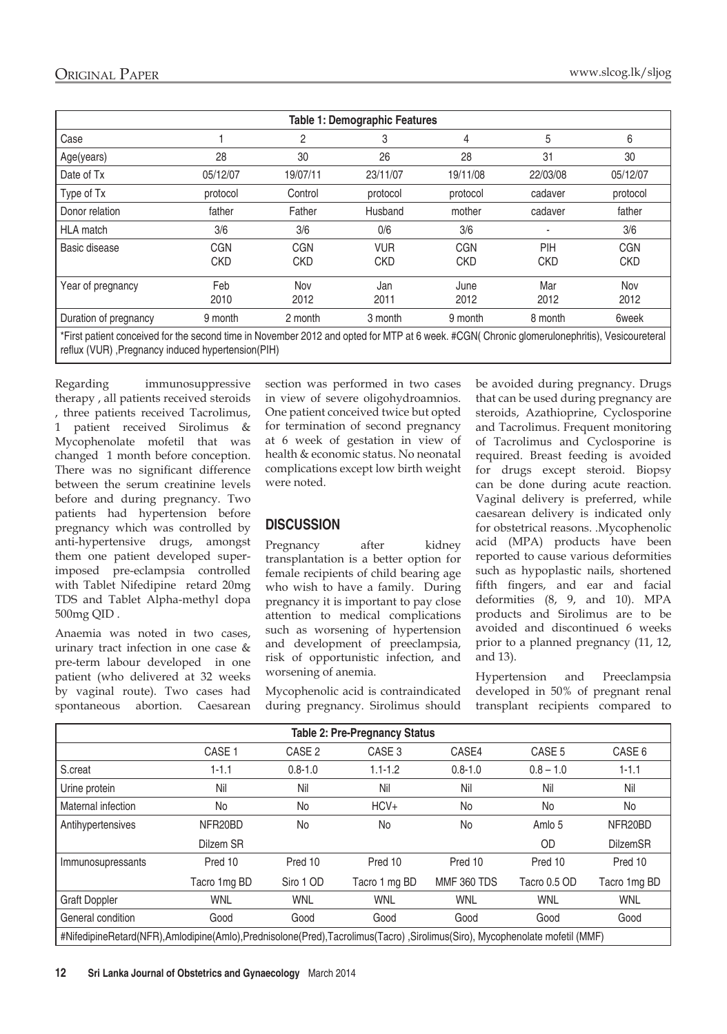| <b>Table 1: Demographic Features</b>                                                                                                      |                          |                          |                          |                          |                   |                          |  |
|-------------------------------------------------------------------------------------------------------------------------------------------|--------------------------|--------------------------|--------------------------|--------------------------|-------------------|--------------------------|--|
| Case                                                                                                                                      |                          | 2                        | 3                        | 4                        | 5                 | 6                        |  |
| Age(years)                                                                                                                                | 28                       | 30                       | 26                       | 28                       | 31                | 30                       |  |
| Date of Tx                                                                                                                                | 05/12/07                 | 19/07/11                 | 23/11/07                 | 19/11/08                 | 22/03/08          | 05/12/07                 |  |
| Type of Tx                                                                                                                                | protocol                 | Control                  | protocol                 | protocol                 | cadaver           | protocol                 |  |
| Donor relation                                                                                                                            | father                   | Father                   | Husband                  | mother                   | cadaver           | father                   |  |
| <b>HLA</b> match                                                                                                                          | 3/6                      | 3/6                      | 0/6                      | 3/6                      |                   | 3/6                      |  |
| Basic disease                                                                                                                             | <b>CGN</b><br><b>CKD</b> | <b>CGN</b><br><b>CKD</b> | <b>VUR</b><br><b>CKD</b> | <b>CGN</b><br><b>CKD</b> | PIH<br><b>CKD</b> | <b>CGN</b><br><b>CKD</b> |  |
| Year of pregnancy                                                                                                                         | Feb<br>2010              | Nov<br>2012              | Jan<br>2011              | June<br>2012             | Mar<br>2012       | Nov<br>2012              |  |
| Duration of pregnancy                                                                                                                     | 9 month                  | 2 month                  | 3 month                  | 9 month                  | 8 month           | 6week                    |  |
| *Firet nationt conceived for the second time in November 2012 and onted for MTP at 6 week #CGN(Chronic glomerulonenbritis) Vesicoureteral |                          |                          |                          |                          |                   |                          |  |

First patient conceived for the second time in November 2012 and opted for MTP reflux (VUR) ,Pregnancy induced hypertension(PIH)

Regarding immunosuppressive therapy , all patients received steroids , three patients received Tacrolimus, 1 patient received Sirolimus & Mycophenolate mofetil that was changed 1 month before conception. There was no significant difference between the serum creatinine levels before and during pregnancy. Two patients had hypertension before pregnancy which was controlled by anti-hypertensive drugs, amongst them one patient developed superimposed pre-eclampsia controlled with Tablet Nifedipine retard 20mg TDS and Tablet Alpha-methyl dopa 500mg QID .

Anaemia was noted in two cases, urinary tract infection in one case & pre-term labour developed in one patient (who delivered at 32 weeks by vaginal route). Two cases had spontaneous abortion. Caesarean section was performed in two cases in view of severe oligohydroamnios. One patient conceived twice but opted for termination of second pregnancy at 6 week of gestation in view of health & economic status. No neonatal complications except low birth weight were noted.

## **Discussion**

Pregnancy after kidney transplantation is a better option for female recipients of child bearing age who wish to have a family. During pregnancy it is important to pay close attention to medical complications such as worsening of hypertension and development of preeclampsia, risk of opportunistic infection, and worsening of anemia.

Mycophenolic acid is contraindicated during pregnancy. Sirolimus should be avoided during pregnancy. Drugs that can be used during pregnancy are steroids, Azathioprine, Cyclosporine and Tacrolimus. Frequent monitoring of Tacrolimus and Cyclosporine is required. Breast feeding is avoided for drugs except steroid. Biopsy can be done during acute reaction. Vaginal delivery is preferred, while caesarean delivery is indicated only for obstetrical reasons. .Mycophenolic acid (MPA) products have been reported to cause various deformities such as hypoplastic nails, shortened fifth fingers, and ear and facial deformities (8, 9, and 10). MPA products and Sirolimus are to be avoided and discontinued 6 weeks prior to a planned pregnancy (11, 12, and 13).

Hypertension and Preeclampsia developed in 50% of pregnant renal transplant recipients compared to

| <b>Table 2: Pre-Pregnancy Status</b>                                                                                      |                   |                   |                   |                    |                   |                 |  |
|---------------------------------------------------------------------------------------------------------------------------|-------------------|-------------------|-------------------|--------------------|-------------------|-----------------|--|
|                                                                                                                           | CASE <sub>1</sub> | CASE <sub>2</sub> | CASE <sub>3</sub> | CASE4              | CASE <sub>5</sub> | CASE 6          |  |
| S.creat                                                                                                                   | $1 - 1.1$         | $0.8 - 1.0$       | $1.1 - 1.2$       | $0.8 - 1.0$        | $0.8 - 1.0$       | $1 - 1.1$       |  |
| Urine protein                                                                                                             | Nil               | Nil               | Nil               | Nil                | Nil               | Nil             |  |
| Maternal infection                                                                                                        | No                | No                | HCV+              | No                 | No                | No              |  |
| Antihypertensives                                                                                                         | NFR20BD           | No                | No                | No                 | Amlo 5            | NFR20BD         |  |
|                                                                                                                           | Dilzem SR         |                   |                   |                    | <b>OD</b>         | <b>DilzemSR</b> |  |
| Immunosupressants                                                                                                         | Pred 10           | Pred 10           | Pred 10           | Pred 10            | Pred 10           | Pred 10         |  |
|                                                                                                                           | Tacro 1mg BD      | Siro 1 OD         | Tacro 1 mg BD     | <b>MMF 360 TDS</b> | Tacro 0.5 OD      | Tacro 1mg BD    |  |
| <b>Graft Doppler</b>                                                                                                      | <b>WNL</b>        | <b>WNL</b>        | <b>WNL</b>        | <b>WNL</b>         | <b>WNL</b>        | <b>WNL</b>      |  |
| General condition                                                                                                         | Good              | Good              | Good              | Good               | Good              | Good            |  |
| #NifedipineRetard(NFR),Amlodipine(Amlo),Prednisolone(Pred),Tacrolimus(Tacro),Sirolimus(Siro), Mycophenolate mofetil (MMF) |                   |                   |                   |                    |                   |                 |  |